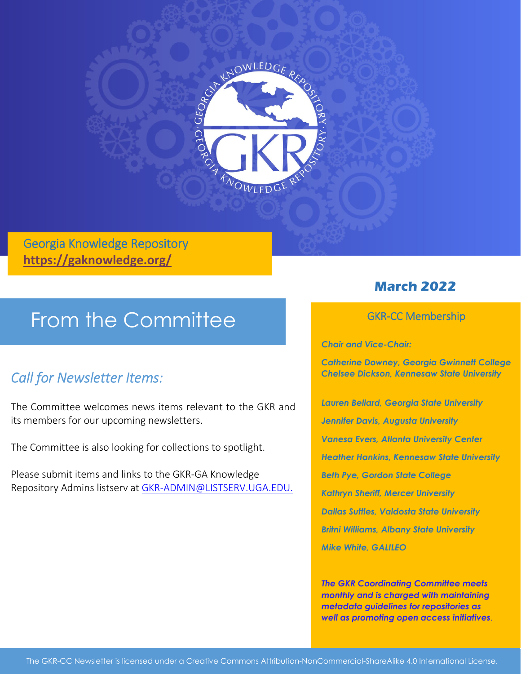

#### Georgia Knowledge Repository **https://gaknowledge.org/**

# From the Committee

### *Call for Newsletter Items:*

The Committee welcomes news items relevant to the GKR and its members for our upcoming newsletters.

The Committee is also looking for collections to spotlight.

Please submit items and links to the GKR‐GA Knowledge Repository Admins listserv at GKR‐ADMIN@LISTSERV.UGA.EDU.

#### **March 2022**

#### GKR‐CC Membership

*Chair and Vice-Chair:* 

*Catherine Downey, Georgia Gwinnett College Chelsee Dickson, Kennesaw State University* 

*Lauren Bellard, Georgia State University Jennifer Davis, Augusta University Vanesa Evers, Atlanta University Center Heather Hankins, Kennesaw State University Beth Pye, Gordon State College Kathryn Sheriff, Mercer University Dallas Suttles, Valdosta State University Britni Williams, Albany State University Mike White, GALILEO* 

*The GKR Coordinating Committee meets monthly and is charged with maintaining metadata guidelines for repositories as well as promoting open access initiatives.*